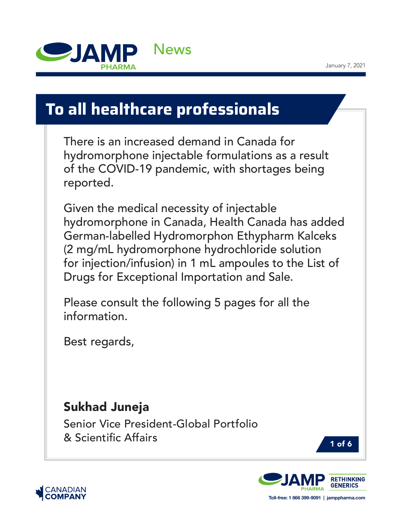

# **To all healthcare professionals**

There is an increased demand in Canada for hydromorphone injectable formulations as a result of the COVID-19 pandemic, with shortages being reported.

Given the medical necessity of injectable hydromorphone in Canada, Health Canada has added German-labelled Hydromorphon Ethypharm Kalceks (2 mg/mL hydromorphone hydrochloride solution for injection/infusion) in 1 mL ampoules to the List of Drugs for Exceptional Importation and Sale.

Please consult the following 5 pages for all the information.

Best regards,

## Sukhad Juneja

Senior Vice President-Global Portfolio & Scientific Affairs







**Toll-free: 1 866 399-9091 | jamppharma.com**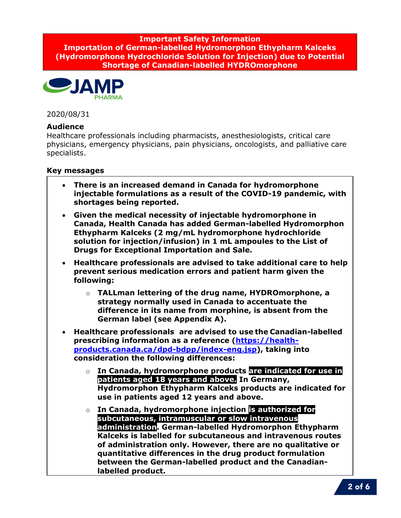**Important Safety Information Importation of German-labelled Hydromorphon Ethypharm Kalceks (Hydromorphone Hydrochloride Solution for Injection) due to Potential Shortage of Canadian-labelled HYDROmorphone**



2020/08/31

#### **Audience**

Healthcare professionals including pharmacists, anesthesiologists, critical care physicians, emergency physicians, pain physicians, oncologists, and palliative care specialists.

#### **Key messages**

- **There is an increased demand in Canada for hydromorphone injectable formulations as a result of the COVID-19 pandemic, with shortages being reported.**
- **Given the medical necessity of injectable hydromorphone in Canada, Health Canada has added German-labelled Hydromorphon Ethypharm Kalceks (2 mg/mL hydromorphone hydrochloride solution for injection/infusion) in 1 mL ampoules to the List of Drugs for Exceptional Importation and Sale.**
- **Healthcare professionals are advised to take additional care to help prevent serious medication errors and patient harm given the following:** 
	- o **TALLman lettering of the drug name, HYDROmorphone, a strategy normally used in Canada to accentuate the difference in its name from morphine, is absent from the German label (see Appendix A).**
- **Healthcare professionals are advised to use the Canadian-labelled prescribing information as a reference (https://healthproducts.canada.ca/dpd-bdpp/index-eng.jsp), taking into consideration the following differences:** 
	- o **In Canada, hydromorphone products are indicated for use in patients aged 18 years and above. In Germany, Hydromorphon Ethypharm Kalceks products are indicated for use in patients aged 12 years and above.**
	- o **In Canada, hydromorphone injection is authorized for subcutaneous, intramuscular or slow intravenous administration. German-labelled Hydromorphon Ethypharm Kalceks is labelled for subcutaneous and intravenous routes of administration only. However, there are no qualitative or quantitative differences in the drug product formulation between the German-labelled product and the Canadianlabelled product.**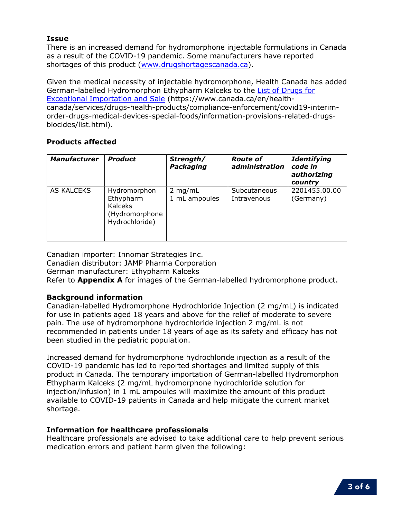#### **Issue**

There is an increased demand for hydromorphone injectable formulations in Canada as a result of the COVID-19 pandemic. Some manufacturers have reported shortages of this product (www.drugshortagescanada.ca).

Given the medical necessity of injectable hydromorphone, Health Canada has added German-labelled Hydromorphon Ethypharm Kalceks to the List of Drugs for Exceptional Importation and Sale (https://www.canada.ca/en/healthcanada/services/drugs-health-products/compliance-enforcement/covid19-interimorder-drugs-medical-devices-special-foods/information-provisions-related-drugsbiocides/list.html).

#### **Products affected**

| <b>Manufacturer</b> | <b>Product</b>                                                                  | Strength/<br>Packaging     | <b>Route of</b><br>administration | <b>Identifying</b><br>code in<br>authorizing<br>country |
|---------------------|---------------------------------------------------------------------------------|----------------------------|-----------------------------------|---------------------------------------------------------|
| AS KALCEKS          | Hydromorphon<br>Ethypharm<br><b>Kalceks</b><br>(Hydromorphone<br>Hydrochloride) | $2$ mg/mL<br>1 mL ampoules | Subcutaneous<br>Intravenous       | 2201455.00.00<br>(Germany)                              |

Canadian importer: Innomar Strategies Inc. Canadian distributor: JAMP Pharma Corporation German manufacturer: Ethypharm Kalceks Refer to **Appendix A** for images of the German-labelled hydromorphone product.

#### **Background information**

Canadian-labelled Hydromorphone Hydrochloride Injection (2 mg/mL) is indicated for use in patients aged 18 years and above for the relief of moderate to severe pain. The use of hydromorphone hydrochloride injection 2 mg/mL is not recommended in patients under 18 years of age as its safety and efficacy has not been studied in the pediatric population.

Increased demand for hydromorphone hydrochloride injection as a result of the COVID-19 pandemic has led to reported shortages and limited supply of this product in Canada. The temporary importation of German-labelled Hydromorphon Ethypharm Kalceks (2 mg/mL hydromorphone hydrochloride solution for injection/infusion) in 1 mL ampoules will maximize the amount of this product available to COVID-19 patients in Canada and help mitigate the current market shortage.

#### **Information for healthcare professionals**

Healthcare professionals are advised to take additional care to help prevent serious medication errors and patient harm given the following: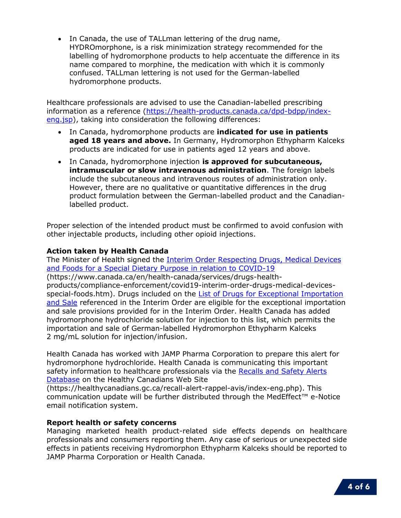• In Canada, the use of TALLman lettering of the drug name, HYDROmorphone, is a risk minimization strategy recommended for the labelling of hydromorphone products to help accentuate the difference in its name compared to morphine, the medication with which it is commonly confused. TALLman lettering is not used for the German-labelled hydromorphone products.

Healthcare professionals are advised to use the Canadian-labelled prescribing information as a reference (https://health-products.canada.ca/dpd-bdpp/indexeng.jsp), taking into consideration the following differences:

- In Canada, hydromorphone products are **indicated for use in patients aged 18 years and above.** In Germany, Hydromorphon Ethypharm Kalceks products are indicated for use in patients aged 12 years and above.
- In Canada, hydromorphone injection **is approved for subcutaneous, intramuscular or slow intravenous administration**. The foreign labels include the subcutaneous and intravenous routes of administration only. However, there are no qualitative or quantitative differences in the drug product formulation between the German-labelled product and the Canadianlabelled product.

Proper selection of the intended product must be confirmed to avoid confusion with other injectable products, including other opioid injections.

#### **Action taken by Health Canada**

The Minister of Health signed the Interim Order Respecting Drugs, Medical Devices and Foods for a Special Dietary Purpose in relation to COVID-19

(https://www.canada.ca/en/health-canada/services/drugs-health-

products/compliance-enforcement/covid19-interim-order-drugs-medical-devicesspecial-foods.htm). Drugs included on the List of Drugs for Exceptional Importation and Sale referenced in the Interim Order are eligible for the exceptional importation and sale provisions provided for in the Interim Order. Health Canada has added hydromorphone hydrochloride solution for injection to this list, which permits the importation and sale of German-labelled Hydromorphon Ethypharm Kalceks 2 mg/mL solution for injection/infusion.

Health Canada has worked with JAMP Pharma Corporation to prepare this alert for hydromorphone hydrochloride. Health Canada is communicating this important safety information to healthcare professionals via the Recalls and Safety Alerts Database on the Healthy Canadians Web Site

(https://healthycanadians.gc.ca/recall-alert-rappel-avis/index-eng.php). This communication update will be further distributed through the MedEffect™ e-Notice email notification system.

#### **Report health or safety concerns**

Managing marketed health product-related side effects depends on healthcare professionals and consumers reporting them. Any case of serious or unexpected side effects in patients receiving Hydromorphon Ethypharm Kalceks should be reported to JAMP Pharma Corporation or Health Canada.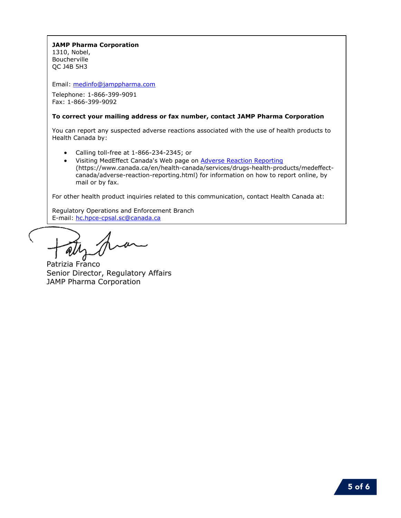### **JAMP Pharma Corporation**

1310, Nobel, Boucherville QC J4B 5H3

Email: medinfo@jamppharma.com

Telephone: 1-866-399-9091 Fax: 1-866-399-9092

#### **To correct your mailing address or fax number, contact JAMP Pharma Corporation**

You can report any suspected adverse reactions associated with the use of health products to Health Canada by:

- Calling toll-free at 1-866-234-2345; or
- Visiting MedEffect Canada's Web page on Adverse Reaction Reporting (https://www.canada.ca/en/health-canada/services/drugs-health-products/medeffectcanada/adverse-reaction-reporting.html) for information on how to report online, by mail or by fax.

For other health product inquiries related to this communication, contact Health Canada at:

Regulatory Operations and Enforcement Branch E-mail: hc.hpce-cpsal.sc@canada.ca

'W

Patrizia Franco Senior Director, Regulatory Affairs JAMP Pharma Corporation